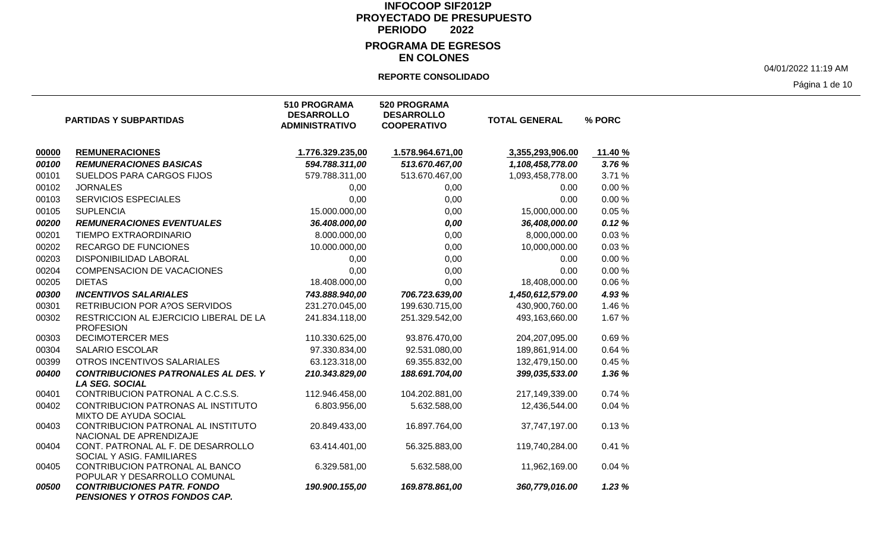### **EN COLONES**

#### **REPORTE CONSOLIDADO**

04/01/2022 11:19 AM

Página 1 de 10

|       | <b>PARTIDAS Y SUBPARTIDAS</b>                                       | <b>510 PROGRAMA</b><br><b>DESARROLLO</b><br><b>ADMINISTRATIVO</b> | <b>520 PROGRAMA</b><br><b>DESARROLLO</b><br><b>COOPERATIVO</b> | <b>TOTAL GENERAL</b> | % PORC  |
|-------|---------------------------------------------------------------------|-------------------------------------------------------------------|----------------------------------------------------------------|----------------------|---------|
| 00000 | <b>REMUNERACIONES</b>                                               | 1.776.329.235,00                                                  | 1.578.964.671,00                                               | 3,355,293,906.00     | 11.40 % |
| 00100 | <b>REMUNERACIONES BASICAS</b>                                       | 594.788.311,00                                                    | 513.670.467,00                                                 | 1,108,458,778.00     | 3.76 %  |
| 00101 | SUELDOS PARA CARGOS FIJOS                                           | 579.788.311,00                                                    | 513.670.467,00                                                 | 1,093,458,778.00     | 3.71 %  |
| 00102 | <b>JORNALES</b>                                                     | 0,00                                                              | 0,00                                                           | 0.00                 | 0.00%   |
| 00103 | <b>SERVICIOS ESPECIALES</b>                                         | 0,00                                                              | 0,00                                                           | 0.00                 | 0.00%   |
| 00105 | <b>SUPLENCIA</b>                                                    | 15.000.000,00                                                     | 0,00                                                           | 15,000,000.00        | 0.05%   |
| 00200 | <b>REMUNERACIONES EVENTUALES</b>                                    | 36.408.000,00                                                     | 0,00                                                           | 36,408,000.00        | 0.12%   |
| 00201 | TIEMPO EXTRAORDINARIO                                               | 8.000.000,00                                                      | 0,00                                                           | 8,000,000.00         | 0.03%   |
| 00202 | <b>RECARGO DE FUNCIONES</b>                                         | 10.000.000,00                                                     | 0,00                                                           | 10,000,000.00        | 0.03%   |
| 00203 | DISPONIBILIDAD LABORAL                                              | 0,00                                                              | 0,00                                                           | 0.00                 | 0.00%   |
| 00204 | <b>COMPENSACION DE VACACIONES</b>                                   | 0,00                                                              | 0,00                                                           | 0.00                 | 0.00%   |
| 00205 | <b>DIETAS</b>                                                       | 18.408.000,00                                                     | 0,00                                                           | 18,408,000.00        | 0.06%   |
| 00300 | <b>INCENTIVOS SALARIALES</b>                                        | 743.888.940,00                                                    | 706.723.639,00                                                 | 1,450,612,579.00     | 4.93 %  |
| 00301 | <b>RETRIBUCION POR A?OS SERVIDOS</b>                                | 231.270.045,00                                                    | 199.630.715,00                                                 | 430,900,760.00       | 1.46 %  |
| 00302 | RESTRICCION AL EJERCICIO LIBERAL DE LA<br><b>PROFESION</b>          | 241.834.118,00                                                    | 251.329.542,00                                                 | 493,163,660.00       | 1.67%   |
| 00303 | <b>DECIMOTERCER MES</b>                                             | 110.330.625,00                                                    | 93.876.470,00                                                  | 204,207,095.00       | 0.69%   |
| 00304 | <b>SALARIO ESCOLAR</b>                                              | 97.330.834,00                                                     | 92.531.080,00                                                  | 189,861,914.00       | 0.64%   |
| 00399 | OTROS INCENTIVOS SALARIALES                                         | 63.123.318,00                                                     | 69.355.832,00                                                  | 132,479,150.00       | 0.45%   |
| 00400 | <b>CONTRIBUCIONES PATRONALES AL DES. Y</b><br><b>LA SEG. SOCIAL</b> | 210.343.829,00                                                    | 188.691.704,00                                                 | 399,035,533.00       | 1.36 %  |
| 00401 | CONTRIBUCION PATRONAL A C.C.S.S.                                    | 112.946.458,00                                                    | 104.202.881,00                                                 | 217,149,339.00       | 0.74%   |
| 00402 | CONTRIBUCION PATRONAS AL INSTITUTO<br>MIXTO DE AYUDA SOCIAL         | 6.803.956,00                                                      | 5.632.588,00                                                   | 12,436,544.00        | 0.04%   |
| 00403 | CONTRIBUCION PATRONAL AL INSTITUTO<br>NACIONAL DE APRENDIZAJE       | 20.849.433,00                                                     | 16.897.764,00                                                  | 37,747,197.00        | 0.13%   |
| 00404 | CONT. PATRONAL AL F. DE DESARROLLO<br>SOCIAL Y ASIG. FAMILIARES     | 63.414.401,00                                                     | 56.325.883,00                                                  | 119,740,284.00       | 0.41%   |
| 00405 | CONTRIBUCION PATRONAL AL BANCO<br>POPULAR Y DESARROLLO COMUNAL      | 6.329.581,00                                                      | 5.632.588,00                                                   | 11,962,169.00        | 0.04%   |
| 00500 | <b>CONTRIBUCIONES PATR. FONDO</b><br>PENSIONES Y OTROS FONDOS CAP.  | 190.900.155,00                                                    | 169.878.861,00                                                 | 360,779,016.00       | 1.23%   |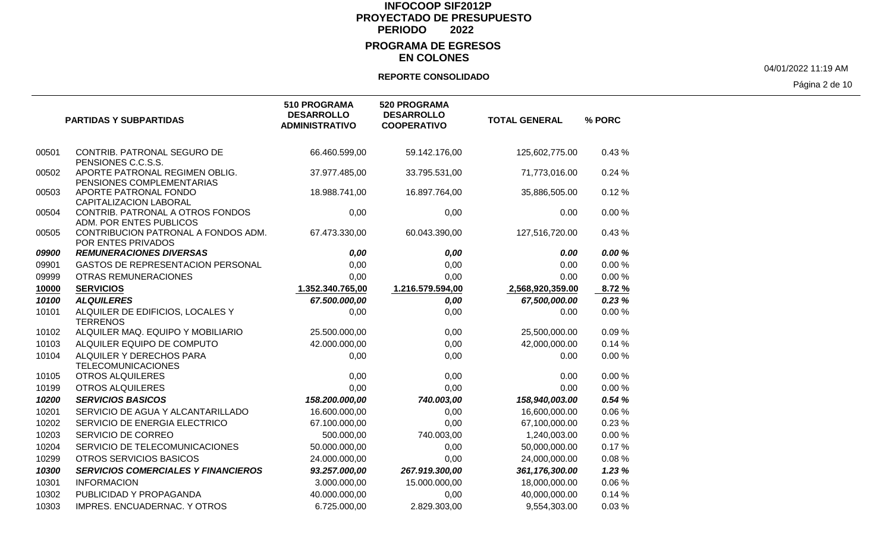## **EN COLONES**

#### **REPORTE CONSOLIDADO**

04/01/2022 11:19 AM

Página 2 de 10

|       | <b>PARTIDAS Y SUBPARTIDAS</b>                               | <b>510 PROGRAMA</b><br><b>DESARROLLO</b><br><b>ADMINISTRATIVO</b> | 520 PROGRAMA<br><b>DESARROLLO</b><br><b>COOPERATIVO</b> | <b>TOTAL GENERAL</b> | % PORC |
|-------|-------------------------------------------------------------|-------------------------------------------------------------------|---------------------------------------------------------|----------------------|--------|
| 00501 | CONTRIB. PATRONAL SEGURO DE<br>PENSIONES C.C.S.S.           | 66.460.599,00                                                     | 59.142.176,00                                           | 125,602,775.00       | 0.43%  |
| 00502 | APORTE PATRONAL REGIMEN OBLIG.<br>PENSIONES COMPLEMENTARIAS | 37.977.485,00                                                     | 33.795.531,00                                           | 71,773,016.00        | 0.24%  |
| 00503 | APORTE PATRONAL FONDO<br>CAPITALIZACION LABORAL             | 18.988.741,00                                                     | 16.897.764,00                                           | 35,886,505.00        | 0.12%  |
| 00504 | CONTRIB. PATRONAL A OTROS FONDOS<br>ADM. POR ENTES PUBLICOS | 0,00                                                              | 0,00                                                    | 0.00                 | 0.00%  |
| 00505 | CONTRIBUCION PATRONAL A FONDOS ADM.<br>POR ENTES PRIVADOS   | 67.473.330,00                                                     | 60.043.390,00                                           | 127,516,720.00       | 0.43%  |
| 09900 | <b>REMUNERACIONES DIVERSAS</b>                              | 0,00                                                              | 0,00                                                    | 0.00                 | 0.00 % |
| 09901 | GASTOS DE REPRESENTACION PERSONAL                           | 0,00                                                              | 0,00                                                    | 0.00                 | 0.00%  |
| 09999 | <b>OTRAS REMUNERACIONES</b>                                 | 0,00                                                              | 0,00                                                    | 0.00                 | 0.00%  |
| 10000 | <b>SERVICIOS</b>                                            | 1.352.340.765,00                                                  | 1.216.579.594,00                                        | 2,568,920,359.00     | 8.72%  |
| 10100 | <b>ALQUILERES</b>                                           | 67.500.000,00                                                     | 0,00                                                    | 67,500,000.00        | 0.23%  |
| 10101 | ALQUILER DE EDIFICIOS, LOCALES Y<br><b>TERRENOS</b>         | 0,00                                                              | 0,00                                                    | 0.00                 | 0.00%  |
| 10102 | ALQUILER MAQ. EQUIPO Y MOBILIARIO                           | 25.500.000,00                                                     | 0,00                                                    | 25,500,000.00        | 0.09%  |
| 10103 | ALQUILER EQUIPO DE COMPUTO                                  | 42.000.000,00                                                     | 0,00                                                    | 42,000,000.00        | 0.14%  |
| 10104 | ALQUILER Y DERECHOS PARA<br><b>TELECOMUNICACIONES</b>       | 0,00                                                              | 0,00                                                    | 0.00                 | 0.00%  |
| 10105 | <b>OTROS ALQUILERES</b>                                     | 0,00                                                              | 0,00                                                    | 0.00                 | 0.00%  |
| 10199 | <b>OTROS ALQUILERES</b>                                     | 0,00                                                              | 0,00                                                    | 0.00                 | 0.00%  |
| 10200 | <b>SERVICIOS BASICOS</b>                                    | 158.200.000,00                                                    | 740.003,00                                              | 158,940,003.00       | 0.54%  |
| 10201 | SERVICIO DE AGUA Y ALCANTARILLADO                           | 16.600.000,00                                                     | 0,00                                                    | 16,600,000.00        | 0.06%  |
| 10202 | SERVICIO DE ENERGIA ELECTRICO                               | 67.100.000,00                                                     | 0,00                                                    | 67,100,000.00        | 0.23%  |
| 10203 | SERVICIO DE CORREO                                          | 500.000,00                                                        | 740.003,00                                              | 1,240,003.00         | 0.00%  |
| 10204 | SERVICIO DE TELECOMUNICACIONES                              | 50.000.000,00                                                     | 0,00                                                    | 50,000,000.00        | 0.17%  |
| 10299 | OTROS SERVICIOS BASICOS                                     | 24.000.000,00                                                     | 0,00                                                    | 24,000,000.00        | 0.08%  |
| 10300 | <b>SERVICIOS COMERCIALES Y FINANCIEROS</b>                  | 93.257.000,00                                                     | 267.919.300,00                                          | 361,176,300.00       | 1.23%  |
| 10301 | <b>INFORMACION</b>                                          | 3.000.000,00                                                      | 15.000.000,00                                           | 18,000,000.00        | 0.06%  |
| 10302 | PUBLICIDAD Y PROPAGANDA                                     | 40.000.000,00                                                     | 0,00                                                    | 40,000,000.00        | 0.14%  |
| 10303 | <b>IMPRES. ENCUADERNAC. Y OTROS</b>                         | 6.725.000,00                                                      | 2.829.303,00                                            | 9,554,303.00         | 0.03%  |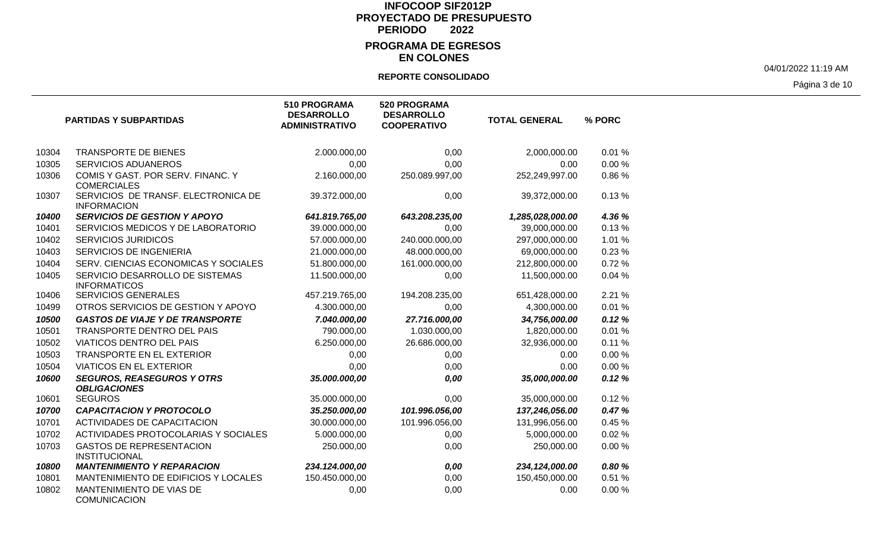### **EN COLONES**

### **REPORTE CONSOLIDADO**

04/01/2022 11:19 AM

Página 3 de 10

|       | <b>PARTIDAS Y SUBPARTIDAS</b>                             | <b>510 PROGRAMA</b><br><b>DESARROLLO</b><br><b>ADMINISTRATIVO</b> | 520 PROGRAMA<br><b>DESARROLLO</b><br><b>COOPERATIVO</b> | <b>TOTAL GENERAL</b> | % PORC |
|-------|-----------------------------------------------------------|-------------------------------------------------------------------|---------------------------------------------------------|----------------------|--------|
| 10304 | <b>TRANSPORTE DE BIENES</b>                               | 2.000.000,00                                                      | 0,00                                                    | 2,000,000.00         | 0.01%  |
| 10305 | <b>SERVICIOS ADUANEROS</b>                                | 0,00                                                              | 0,00                                                    | 0.00                 | 0.00%  |
| 10306 | COMIS Y GAST. POR SERV. FINANC. Y<br><b>COMERCIALES</b>   | 2.160.000,00                                                      | 250.089.997,00                                          | 252,249,997.00       | 0.86%  |
| 10307 | SERVICIOS DE TRANSF. ELECTRONICA DE<br><b>INFORMACION</b> | 39.372.000,00                                                     | 0,00                                                    | 39,372,000.00        | 0.13%  |
| 10400 | <b>SERVICIOS DE GESTION Y APOYO</b>                       | 641.819.765,00                                                    | 643.208.235,00                                          | 1,285,028,000.00     | 4.36 % |
| 10401 | SERVICIOS MEDICOS Y DE LABORATORIO                        | 39.000.000,00                                                     | 0,00                                                    | 39,000,000.00        | 0.13%  |
| 10402 | <b>SERVICIOS JURIDICOS</b>                                | 57.000.000,00                                                     | 240.000.000,00                                          | 297,000,000.00       | 1.01%  |
| 10403 | SERVICIOS DE INGENIERIA                                   | 21.000.000,00                                                     | 48.000.000,00                                           | 69,000,000.00        | 0.23%  |
| 10404 | SERV. CIENCIAS ECONOMICAS Y SOCIALES                      | 51.800.000,00                                                     | 161.000.000,00                                          | 212,800,000.00       | 0.72%  |
| 10405 | SERVICIO DESARROLLO DE SISTEMAS<br><b>INFORMATICOS</b>    | 11.500.000,00                                                     | 0,00                                                    | 11,500,000.00        | 0.04%  |
| 10406 | <b>SERVICIOS GENERALES</b>                                | 457.219.765,00                                                    | 194.208.235,00                                          | 651,428,000.00       | 2.21 % |
| 10499 | OTROS SERVICIOS DE GESTION Y APOYO                        | 4.300.000,00                                                      | 0,00                                                    | 4,300,000.00         | 0.01%  |
| 10500 | <b>GASTOS DE VIAJE Y DE TRANSPORTE</b>                    | 7.040.000,00                                                      | 27.716.000,00                                           | 34,756,000.00        | 0.12%  |
| 10501 | TRANSPORTE DENTRO DEL PAIS                                | 790.000,00                                                        | 1.030.000,00                                            | 1,820,000.00         | 0.01%  |
| 10502 | <b>VIATICOS DENTRO DEL PAIS</b>                           | 6.250.000,00                                                      | 26.686.000,00                                           | 32,936,000.00        | 0.11%  |
| 10503 | <b>TRANSPORTE EN EL EXTERIOR</b>                          | 0,00                                                              | 0,00                                                    | 0.00                 | 0.00%  |
| 10504 | <b>VIATICOS EN EL EXTERIOR</b>                            | 0,00                                                              | 0,00                                                    | 0.00                 | 0.00%  |
| 10600 | <b>SEGUROS, REASEGUROS Y OTRS</b><br><b>OBLIGACIONES</b>  | 35.000.000,00                                                     | 0,00                                                    | 35,000,000.00        | 0.12%  |
| 10601 | <b>SEGUROS</b>                                            | 35.000.000,00                                                     | 0,00                                                    | 35,000,000.00        | 0.12%  |
| 10700 | <b>CAPACITACION Y PROTOCOLO</b>                           | 35.250.000,00                                                     | 101.996.056,00                                          | 137,246,056.00       | 0.47%  |
| 10701 | <b>ACTIVIDADES DE CAPACITACION</b>                        | 30.000.000,00                                                     | 101.996.056,00                                          | 131,996,056.00       | 0.45%  |
| 10702 | ACTIVIDADES PROTOCOLARIAS Y SOCIALES                      | 5.000.000,00                                                      | 0,00                                                    | 5,000,000.00         | 0.02%  |
| 10703 | <b>GASTOS DE REPRESENTACION</b><br><b>INSTITUCIONAL</b>   | 250.000,00                                                        | 0,00                                                    | 250,000.00           | 0.00%  |
| 10800 | <b>MANTENIMIENTO Y REPARACION</b>                         | 234.124.000,00                                                    | 0,00                                                    | 234,124,000.00       | 0.80%  |
| 10801 | MANTENIMIENTO DE EDIFICIOS Y LOCALES                      | 150.450.000,00                                                    | 0,00                                                    | 150,450,000.00       | 0.51%  |
| 10802 | MANTENIMIENTO DE VIAS DE<br>COMUNICACION                  | 0,00                                                              | 0,00                                                    | 0.00                 | 0.00%  |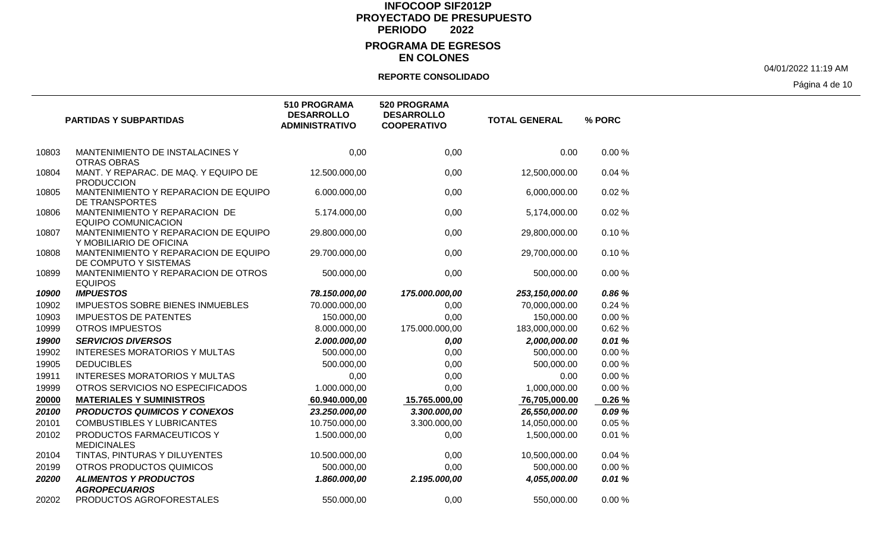## **EN COLONES**

### **REPORTE CONSOLIDADO**

04/01/2022 11:19 AM

Página 4 de 10

|       | <b>PARTIDAS Y SUBPARTIDAS</b>                                   | 510 PROGRAMA<br><b>DESARROLLO</b><br><b>ADMINISTRATIVO</b> | <b>520 PROGRAMA</b><br><b>DESARROLLO</b><br><b>COOPERATIVO</b> | <b>TOTAL GENERAL</b> | % PORC |
|-------|-----------------------------------------------------------------|------------------------------------------------------------|----------------------------------------------------------------|----------------------|--------|
| 10803 | MANTENIMIENTO DE INSTALACINES Y<br><b>OTRAS OBRAS</b>           | 0,00                                                       | 0,00                                                           | 0.00                 | 0.00%  |
| 10804 | MANT. Y REPARAC. DE MAQ. Y EQUIPO DE<br><b>PRODUCCION</b>       | 12.500.000,00                                              | 0,00                                                           | 12,500,000.00        | 0.04%  |
| 10805 | MANTENIMIENTO Y REPARACION DE EQUIPO<br>DE TRANSPORTES          | 6.000.000,00                                               | 0,00                                                           | 6,000,000.00         | 0.02%  |
| 10806 | MANTENIMIENTO Y REPARACION DE<br><b>EQUIPO COMUNICACION</b>     | 5.174.000,00                                               | 0,00                                                           | 5,174,000.00         | 0.02%  |
| 10807 | MANTENIMIENTO Y REPARACION DE EQUIPO<br>Y MOBILIARIO DE OFICINA | 29.800.000,00                                              | 0,00                                                           | 29,800,000.00        | 0.10%  |
| 10808 | MANTENIMIENTO Y REPARACION DE EQUIPO<br>DE COMPUTO Y SISTEMAS   | 29.700.000,00                                              | 0,00                                                           | 29,700,000.00        | 0.10%  |
| 10899 | MANTENIMIENTO Y REPARACION DE OTROS<br><b>EQUIPOS</b>           | 500.000,00                                                 | 0,00                                                           | 500,000.00           | 0.00%  |
| 10900 | <b>IMPUESTOS</b>                                                | 78.150.000,00                                              | 175.000.000,00                                                 | 253,150,000.00       | 0.86 % |
| 10902 | <b>IMPUESTOS SOBRE BIENES INMUEBLES</b>                         | 70.000.000,00                                              | 0,00                                                           | 70,000,000.00        | 0.24%  |
| 10903 | <b>IMPUESTOS DE PATENTES</b>                                    | 150.000,00                                                 | 0,00                                                           | 150,000.00           | 0.00%  |
| 10999 | <b>OTROS IMPUESTOS</b>                                          | 8.000.000,00                                               | 175.000.000,00                                                 | 183,000,000.00       | 0.62%  |
| 19900 | <b>SERVICIOS DIVERSOS</b>                                       | 2.000.000,00                                               | 0,00                                                           | 2,000,000.00         | 0.01%  |
| 19902 | <b>INTERESES MORATORIOS Y MULTAS</b>                            | 500.000,00                                                 | 0,00                                                           | 500,000.00           | 0.00%  |
| 19905 | <b>DEDUCIBLES</b>                                               | 500.000,00                                                 | 0,00                                                           | 500,000.00           | 0.00%  |
| 19911 | <b>INTERESES MORATORIOS Y MULTAS</b>                            | 0,00                                                       | 0,00                                                           | 0.00                 | 0.00%  |
| 19999 | OTROS SERVICIOS NO ESPECIFICADOS                                | 1.000.000,00                                               | 0,00                                                           | 1,000,000.00         | 0.00%  |
| 20000 | <b>MATERIALES Y SUMINISTROS</b>                                 | 60.940.000,00                                              | 15.765.000,00                                                  | 76,705,000.00        | 0.26%  |
| 20100 | <b>PRODUCTOS QUIMICOS Y CONEXOS</b>                             | 23.250.000,00                                              | 3.300.000,00                                                   | 26,550,000.00        | 0.09%  |
| 20101 | <b>COMBUSTIBLES Y LUBRICANTES</b>                               | 10.750.000,00                                              | 3.300.000,00                                                   | 14,050,000.00        | 0.05%  |
| 20102 | PRODUCTOS FARMACEUTICOS Y<br><b>MEDICINALES</b>                 | 1.500.000,00                                               | 0,00                                                           | 1,500,000.00         | 0.01%  |
| 20104 | TINTAS, PINTURAS Y DILUYENTES                                   | 10.500.000,00                                              | 0,00                                                           | 10,500,000.00        | 0.04%  |
| 20199 | OTROS PRODUCTOS QUIMICOS                                        | 500.000,00                                                 | 0,00                                                           | 500,000.00           | 0.00%  |
| 20200 | <b>ALIMENTOS Y PRODUCTOS</b><br><b>AGROPECUARIOS</b>            | 1.860.000,00                                               | 2.195.000,00                                                   | 4,055,000.00         | 0.01%  |
| 20202 | PRODUCTOS AGROFORESTALES                                        | 550.000,00                                                 | 0,00                                                           | 550,000.00           | 0.00%  |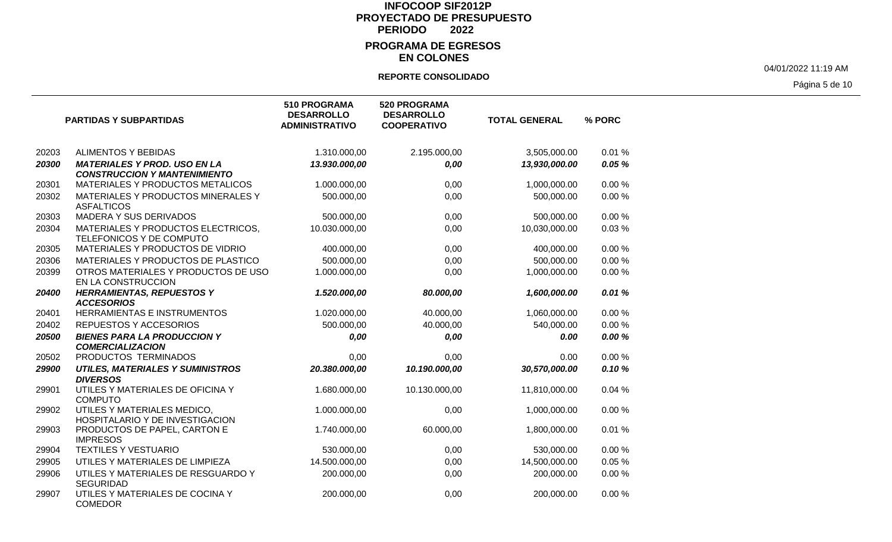### **EN COLONES**

#### **REPORTE CONSOLIDADO**

04/01/2022 11:19 AM

Página 5 de 10

|       | <b>PARTIDAS Y SUBPARTIDAS</b>                                              | <b>510 PROGRAMA</b><br><b>DESARROLLO</b><br><b>ADMINISTRATIVO</b> | 520 PROGRAMA<br><b>DESARROLLO</b><br><b>COOPERATIVO</b> | <b>TOTAL GENERAL</b> | % PORC |
|-------|----------------------------------------------------------------------------|-------------------------------------------------------------------|---------------------------------------------------------|----------------------|--------|
| 20203 | <b>ALIMENTOS Y BEBIDAS</b>                                                 | 1.310.000,00                                                      | 2.195.000,00                                            | 3,505,000.00         | 0.01%  |
| 20300 | <b>MATERIALES Y PROD. USO EN LA</b><br><b>CONSTRUCCION Y MANTENIMIENTO</b> | 13.930.000,00                                                     | 0,00                                                    | 13,930,000.00        | 0.05%  |
| 20301 | MATERIALES Y PRODUCTOS METALICOS                                           | 1.000.000,00                                                      | 0,00                                                    | 1,000,000.00         | 0.00%  |
| 20302 | MATERIALES Y PRODUCTOS MINERALES Y<br><b>ASFALTICOS</b>                    | 500.000,00                                                        | 0,00                                                    | 500,000.00           | 0.00%  |
| 20303 | <b>MADERA Y SUS DERIVADOS</b>                                              | 500.000,00                                                        | 0,00                                                    | 500,000.00           | 0.00%  |
| 20304 | MATERIALES Y PRODUCTOS ELECTRICOS,<br>TELEFONICOS Y DE COMPUTO             | 10.030.000,00                                                     | 0,00                                                    | 10,030,000.00        | 0.03%  |
| 20305 | MATERIALES Y PRODUCTOS DE VIDRIO                                           | 400.000,00                                                        | 0,00                                                    | 400,000.00           | 0.00%  |
| 20306 | MATERIALES Y PRODUCTOS DE PLASTICO                                         | 500.000,00                                                        | 0,00                                                    | 500,000.00           | 0.00%  |
| 20399 | OTROS MATERIALES Y PRODUCTOS DE USO<br>EN LA CONSTRUCCION                  | 1.000.000,00                                                      | 0,00                                                    | 1,000,000.00         | 0.00%  |
| 20400 | <b>HERRAMIENTAS, REPUESTOS Y</b><br><b>ACCESORIOS</b>                      | 1.520.000,00                                                      | 80.000,00                                               | 1,600,000.00         | 0.01%  |
| 20401 | HERRAMIENTAS E INSTRUMENTOS                                                | 1.020.000,00                                                      | 40.000,00                                               | 1,060,000.00         | 0.00%  |
| 20402 | REPUESTOS Y ACCESORIOS                                                     | 500.000,00                                                        | 40.000,00                                               | 540,000.00           | 0.00%  |
| 20500 | <b>BIENES PARA LA PRODUCCION Y</b><br><b>COMERCIALIZACION</b>              | 0,00                                                              | 0,00                                                    | 0.00                 | 0.00%  |
| 20502 | PRODUCTOS TERMINADOS                                                       | 0,00                                                              | 0,00                                                    | 0.00                 | 0.00%  |
| 29900 | <b>UTILES, MATERIALES Y SUMINISTROS</b><br><b>DIVERSOS</b>                 | 20.380.000,00                                                     | 10.190.000,00                                           | 30,570,000.00        | 0.10%  |
| 29901 | UTILES Y MATERIALES DE OFICINA Y<br><b>COMPUTO</b>                         | 1.680.000,00                                                      | 10.130.000,00                                           | 11,810,000.00        | 0.04%  |
| 29902 | UTILES Y MATERIALES MEDICO,<br>HOSPITALARIO Y DE INVESTIGACION             | 1.000.000,00                                                      | 0,00                                                    | 1,000,000.00         | 0.00%  |
| 29903 | PRODUCTOS DE PAPEL, CARTON E<br><b>IMPRESOS</b>                            | 1.740.000,00                                                      | 60.000,00                                               | 1,800,000.00         | 0.01%  |
| 29904 | <b>TEXTILES Y VESTUARIO</b>                                                | 530.000,00                                                        | 0,00                                                    | 530,000.00           | 0.00%  |
| 29905 | UTILES Y MATERIALES DE LIMPIEZA                                            | 14.500.000,00                                                     | 0,00                                                    | 14,500,000.00        | 0.05%  |
| 29906 | UTILES Y MATERIALES DE RESGUARDO Y<br><b>SEGURIDAD</b>                     | 200.000,00                                                        | 0,00                                                    | 200,000.00           | 0.00%  |
| 29907 | UTILES Y MATERIALES DE COCINA Y<br><b>COMEDOR</b>                          | 200.000,00                                                        | 0,00                                                    | 200,000.00           | 0.00%  |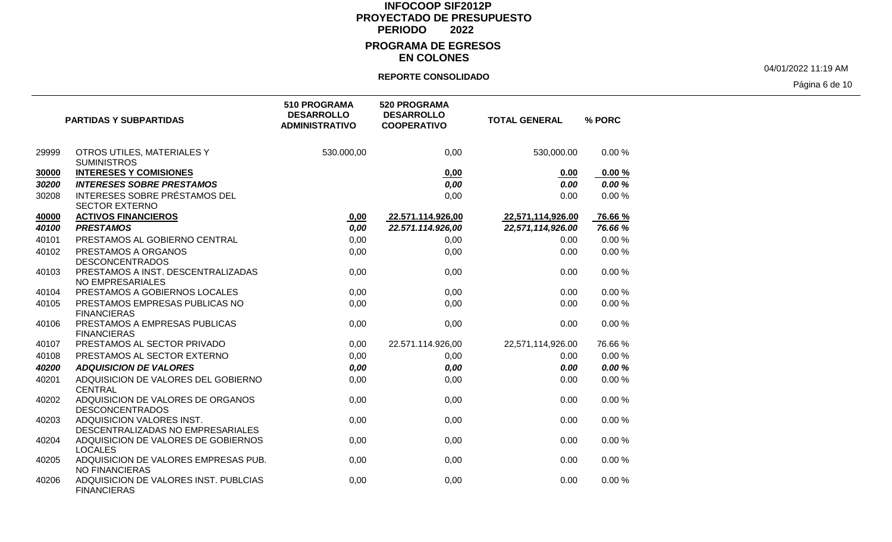#### **EN COLONES**

#### **REPORTE CONSOLIDADO**

04/01/2022 11:19 AM

Página 6 de 10

|       | <b>PARTIDAS Y SUBPARTIDAS</b>                                  | 510 PROGRAMA<br><b>DESARROLLO</b><br><b>ADMINISTRATIVO</b> | <b>520 PROGRAMA</b><br><b>DESARROLLO</b><br><b>COOPERATIVO</b> | <b>TOTAL GENERAL</b> | % PORC  |
|-------|----------------------------------------------------------------|------------------------------------------------------------|----------------------------------------------------------------|----------------------|---------|
| 29999 | OTROS UTILES, MATERIALES Y<br><b>SUMINISTROS</b>               | 530.000,00                                                 | 0,00                                                           | 530,000.00           | 0.00%   |
| 30000 | <b>INTERESES Y COMISIONES</b>                                  |                                                            | 0,00                                                           | 0.00                 | 0.00%   |
| 30200 | <b>INTERESES SOBRE PRESTAMOS</b>                               |                                                            | 0,00                                                           | 0.00                 | 0.00%   |
| 30208 | INTERESES SOBRE PRÉSTAMOS DEL<br><b>SECTOR EXTERNO</b>         |                                                            | 0,00                                                           | 0.00                 | 0.00%   |
| 40000 | <b>ACTIVOS FINANCIEROS</b>                                     | 0,00                                                       | 22.571.114.926,00                                              | 22,571,114,926.00    | 76.66 % |
| 40100 | <b>PRESTAMOS</b>                                               | 0,00                                                       | 22.571.114.926,00                                              | 22,571,114,926.00    | 76.66 % |
| 40101 | PRESTAMOS AL GOBIERNO CENTRAL                                  | 0,00                                                       | 0,00                                                           | 0.00                 | 0.00%   |
| 40102 | PRESTAMOS A ORGANOS<br><b>DESCONCENTRADOS</b>                  | 0,00                                                       | 0,00                                                           | 0.00                 | 0.00%   |
| 40103 | PRESTAMOS A INST. DESCENTRALIZADAS<br>NO EMPRESARIALES         | 0,00                                                       | 0,00                                                           | 0.00                 | 0.00%   |
| 40104 | PRESTAMOS A GOBIERNOS LOCALES                                  | 0,00                                                       | 0,00                                                           | 0.00                 | 0.00%   |
| 40105 | PRESTAMOS EMPRESAS PUBLICAS NO<br><b>FINANCIERAS</b>           | 0,00                                                       | 0,00                                                           | 0.00                 | 0.00%   |
| 40106 | PRESTAMOS A EMPRESAS PUBLICAS<br><b>FINANCIERAS</b>            | 0,00                                                       | 0,00                                                           | 0.00                 | 0.00%   |
| 40107 | PRESTAMOS AL SECTOR PRIVADO                                    | 0,00                                                       | 22.571.114.926,00                                              | 22,571,114,926.00    | 76.66%  |
| 40108 | PRESTAMOS AL SECTOR EXTERNO                                    | 0,00                                                       | 0,00                                                           | 0.00                 | 0.00%   |
| 40200 | <b>ADQUISICION DE VALORES</b>                                  | 0,00                                                       | 0,00                                                           | 0.00                 | 0.00%   |
| 40201 | ADQUISICION DE VALORES DEL GOBIERNO<br><b>CENTRAL</b>          | 0,00                                                       | 0,00                                                           | 0.00                 | 0.00%   |
| 40202 | ADQUISICION DE VALORES DE ORGANOS<br><b>DESCONCENTRADOS</b>    | 0,00                                                       | 0,00                                                           | 0.00                 | 0.00%   |
| 40203 | ADQUISICION VALORES INST.<br>DESCENTRALIZADAS NO EMPRESARIALES | 0,00                                                       | 0,00                                                           | 0.00                 | 0.00%   |
| 40204 | ADQUISICION DE VALORES DE GOBIERNOS<br><b>LOCALES</b>          | 0,00                                                       | 0,00                                                           | 0.00                 | 0.00%   |
| 40205 | ADQUISICION DE VALORES EMPRESAS PUB.<br><b>NO FINANCIERAS</b>  | 0,00                                                       | 0,00                                                           | 0.00                 | 0.00%   |
| 40206 | ADQUISICION DE VALORES INST. PUBLCIAS<br><b>FINANCIERAS</b>    | 0,00                                                       | 0,00                                                           | 0.00                 | 0.00%   |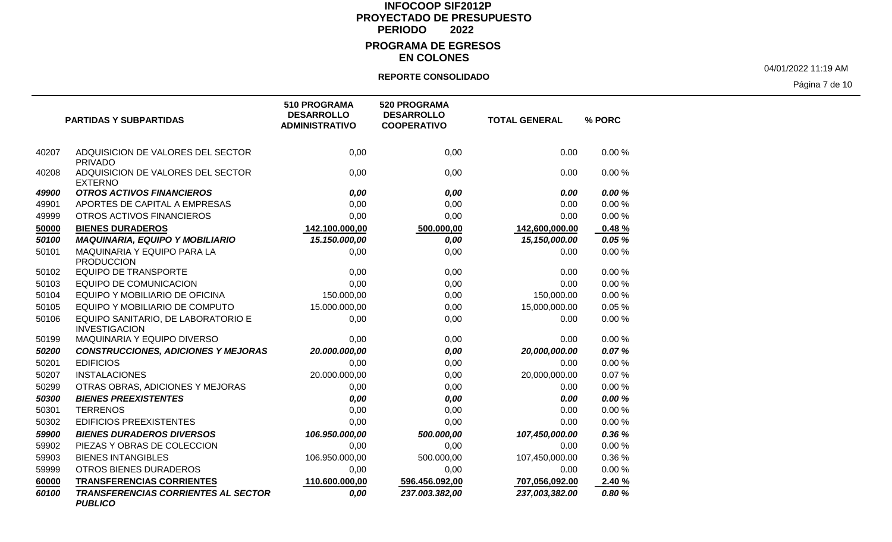#### **EN COLONES**

### **REPORTE CONSOLIDADO**

04/01/2022 11:19 AM

Página 7 de 10

|       | <b>PARTIDAS Y SUBPARTIDAS</b>                                | <b>510 PROGRAMA</b><br><b>DESARROLLO</b><br><b>ADMINISTRATIVO</b> | <b>520 PROGRAMA</b><br><b>DESARROLLO</b><br><b>COOPERATIVO</b> | <b>TOTAL GENERAL</b> | % PORC |
|-------|--------------------------------------------------------------|-------------------------------------------------------------------|----------------------------------------------------------------|----------------------|--------|
| 40207 | ADQUISICION DE VALORES DEL SECTOR<br><b>PRIVADO</b>          | 0,00                                                              | 0,00                                                           | 0.00                 | 0.00%  |
| 40208 | ADQUISICION DE VALORES DEL SECTOR<br><b>EXTERNO</b>          | 0,00                                                              | 0,00                                                           | 0.00                 | 0.00%  |
| 49900 | <b>OTROS ACTIVOS FINANCIEROS</b>                             | 0,00                                                              | 0,00                                                           | 0.00                 | 0.00 % |
| 49901 | APORTES DE CAPITAL A EMPRESAS                                | 0,00                                                              | 0,00                                                           | 0.00                 | 0.00%  |
| 49999 | OTROS ACTIVOS FINANCIEROS                                    | 0,00                                                              | 0,00                                                           | 0.00                 | 0.00%  |
| 50000 | <b>BIENES DURADEROS</b>                                      | 142.100.000,00                                                    | 500.000,00                                                     | 142,600,000.00       | 0.48%  |
| 50100 | <b>MAQUINARIA, EQUIPO Y MOBILIARIO</b>                       | 15.150.000,00                                                     | 0,00                                                           | 15,150,000.00        | 0.05 % |
| 50101 | MAQUINARIA Y EQUIPO PARA LA<br><b>PRODUCCION</b>             | 0,00                                                              | 0,00                                                           | 0.00                 | 0.00%  |
| 50102 | <b>EQUIPO DE TRANSPORTE</b>                                  | 0,00                                                              | 0,00                                                           | 0.00                 | 0.00%  |
| 50103 | <b>EQUIPO DE COMUNICACION</b>                                | 0,00                                                              | 0,00                                                           | 0.00                 | 0.00%  |
| 50104 | EQUIPO Y MOBILIARIO DE OFICINA                               | 150.000,00                                                        | 0,00                                                           | 150,000.00           | 0.00%  |
| 50105 | EQUIPO Y MOBILIARIO DE COMPUTO                               | 15.000.000,00                                                     | 0,00                                                           | 15,000,000.00        | 0.05%  |
| 50106 | EQUIPO SANITARIO, DE LABORATORIO E<br><b>INVESTIGACION</b>   | 0,00                                                              | 0,00                                                           | 0.00                 | 0.00%  |
| 50199 | MAQUINARIA Y EQUIPO DIVERSO                                  | 0,00                                                              | 0,00                                                           | 0.00                 | 0.00%  |
| 50200 | <b>CONSTRUCCIONES, ADICIONES Y MEJORAS</b>                   | 20.000.000,00                                                     | 0,00                                                           | 20,000,000.00        | 0.07%  |
| 50201 | <b>EDIFICIOS</b>                                             | 0,00                                                              | 0,00                                                           | 0.00                 | 0.00%  |
| 50207 | <b>INSTALACIONES</b>                                         | 20.000.000,00                                                     | 0,00                                                           | 20,000,000.00        | 0.07%  |
| 50299 | OTRAS OBRAS, ADICIONES Y MEJORAS                             | 0,00                                                              | 0,00                                                           | 0.00                 | 0.00%  |
| 50300 | <b>BIENES PREEXISTENTES</b>                                  | 0,00                                                              | 0,00                                                           | 0.00                 | 0.00 % |
| 50301 | <b>TERRENOS</b>                                              | 0,00                                                              | 0,00                                                           | 0.00                 | 0.00%  |
| 50302 | <b>EDIFICIOS PREEXISTENTES</b>                               | 0,00                                                              | 0,00                                                           | 0.00                 | 0.00%  |
| 59900 | <b>BIENES DURADEROS DIVERSOS</b>                             | 106.950.000,00                                                    | 500.000,00                                                     | 107,450,000.00       | 0.36 % |
| 59902 | PIEZAS Y OBRAS DE COLECCION                                  | 0,00                                                              | 0,00                                                           | 0.00                 | 0.00%  |
| 59903 | <b>BIENES INTANGIBLES</b>                                    | 106.950.000,00                                                    | 500.000,00                                                     | 107,450,000.00       | 0.36%  |
| 59999 | OTROS BIENES DURADEROS                                       | 0,00                                                              | 0,00                                                           | 0.00                 | 0.00%  |
| 60000 | <b>TRANSFERENCIAS CORRIENTES</b>                             | 110.600.000,00                                                    | 596.456.092,00                                                 | 707,056,092.00       | 2.40 % |
| 60100 | <b>TRANSFERENCIAS CORRIENTES AL SECTOR</b><br><b>PUBLICO</b> | 0,00                                                              | 237.003.382,00                                                 | 237,003,382.00       | 0.80%  |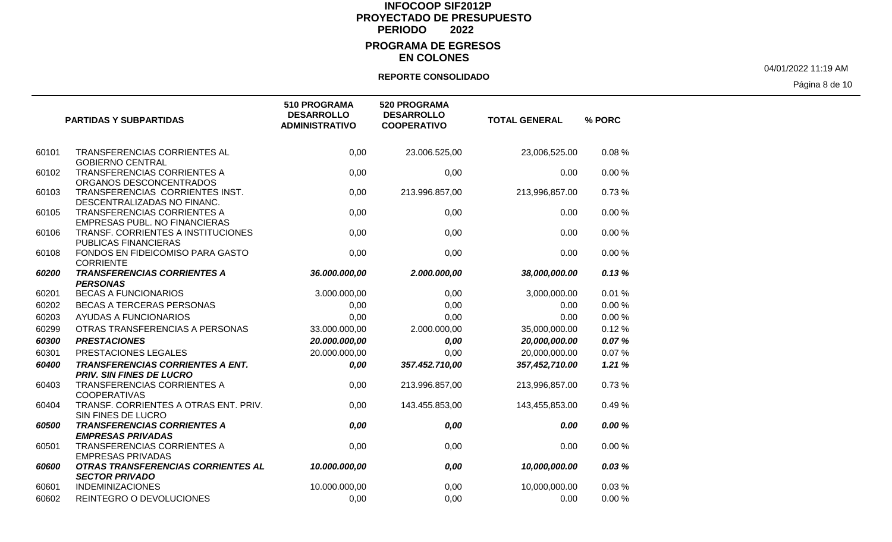## **EN COLONES**

#### **REPORTE CONSOLIDADO**

04/01/2022 11:19 AM

Página 8 de 10

|       | <b>PARTIDAS Y SUBPARTIDAS</b>                                              | <b>510 PROGRAMA</b><br><b>DESARROLLO</b><br><b>ADMINISTRATIVO</b> | <b>520 PROGRAMA</b><br><b>DESARROLLO</b><br><b>COOPERATIVO</b> | <b>TOTAL GENERAL</b> | % PORC |
|-------|----------------------------------------------------------------------------|-------------------------------------------------------------------|----------------------------------------------------------------|----------------------|--------|
| 60101 | TRANSFERENCIAS CORRIENTES AL<br><b>GOBIERNO CENTRAL</b>                    | 0,00                                                              | 23.006.525,00                                                  | 23,006,525.00        | 0.08%  |
| 60102 | <b>TRANSFERENCIAS CORRIENTES A</b><br>ORGANOS DESCONCENTRADOS              | 0,00                                                              | 0,00                                                           | 0.00                 | 0.00%  |
| 60103 | TRANSFERENCIAS CORRIENTES INST.<br>DESCENTRALIZADAS NO FINANC.             | 0,00                                                              | 213.996.857,00                                                 | 213,996,857.00       | 0.73%  |
| 60105 | TRANSFERENCIAS CORRIENTES A<br><b>EMPRESAS PUBL. NO FINANCIERAS</b>        | 0,00                                                              | 0,00                                                           | 0.00                 | 0.00%  |
| 60106 | TRANSF. CORRIENTES A INSTITUCIONES<br>PUBLICAS FINANCIERAS                 | 0,00                                                              | 0,00                                                           | 0.00                 | 0.00%  |
| 60108 | FONDOS EN FIDEICOMISO PARA GASTO<br><b>CORRIENTE</b>                       | 0,00                                                              | 0,00                                                           | 0.00                 | 0.00%  |
| 60200 | <b>TRANSFERENCIAS CORRIENTES A</b><br><b>PERSONAS</b>                      | 36.000.000,00                                                     | 2.000.000,00                                                   | 38,000,000.00        | 0.13%  |
| 60201 | <b>BECAS A FUNCIONARIOS</b>                                                | 3.000.000,00                                                      | 0,00                                                           | 3,000,000.00         | 0.01%  |
| 60202 | BECAS A TERCERAS PERSONAS                                                  | 0,00                                                              | 0,00                                                           | 0.00                 | 0.00%  |
| 60203 | <b>AYUDAS A FUNCIONARIOS</b>                                               | 0,00                                                              | 0,00                                                           | 0.00                 | 0.00%  |
| 60299 | OTRAS TRANSFERENCIAS A PERSONAS                                            | 33.000.000,00                                                     | 2.000.000,00                                                   | 35,000,000.00        | 0.12%  |
| 60300 | <b>PRESTACIONES</b>                                                        | 20.000.000,00                                                     | 0,00                                                           | 20,000,000.00        | 0.07%  |
| 60301 | PRESTACIONES LEGALES                                                       | 20.000.000,00                                                     | 0,00                                                           | 20,000,000.00        | 0.07%  |
| 60400 | <b>TRANSFERENCIAS CORRIENTES A ENT.</b><br><b>PRIV. SIN FINES DE LUCRO</b> | 0,00                                                              | 357.452.710,00                                                 | 357,452,710.00       | 1.21%  |
| 60403 | <b>TRANSFERENCIAS CORRIENTES A</b><br><b>COOPERATIVAS</b>                  | 0,00                                                              | 213.996.857,00                                                 | 213,996,857.00       | 0.73%  |
| 60404 | TRANSF. CORRIENTES A OTRAS ENT. PRIV.<br>SIN FINES DE LUCRO                | 0,00                                                              | 143.455.853,00                                                 | 143,455,853.00       | 0.49%  |
| 60500 | <b>TRANSFERENCIAS CORRIENTES A</b><br><b>EMPRESAS PRIVADAS</b>             | 0,00                                                              | 0,00                                                           | 0.00                 | 0.00 % |
| 60501 | TRANSFERENCIAS CORRIENTES A<br><b>EMPRESAS PRIVADAS</b>                    | 0,00                                                              | 0,00                                                           | 0.00                 | 0.00%  |
| 60600 | OTRAS TRANSFERENCIAS CORRIENTES AL<br><b>SECTOR PRIVADO</b>                | 10.000.000,00                                                     | 0,00                                                           | 10,000,000.00        | 0.03%  |
| 60601 | <b>INDEMINIZACIONES</b>                                                    | 10.000.000,00                                                     | 0,00                                                           | 10,000,000.00        | 0.03%  |
| 60602 | REINTEGRO O DEVOLUCIONES                                                   | 0.00                                                              | 0,00                                                           | 0.00                 | 0.00%  |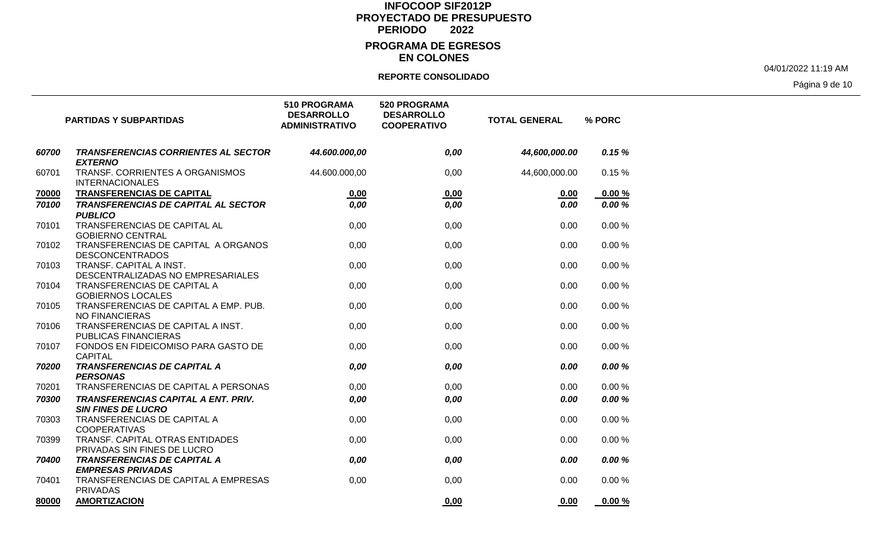### **EN COLONES**

#### **REPORTE CONSOLIDADO**

04/01/2022 11:19 AM

Página 9 de 10

|       | <b>PARTIDAS Y SUBPARTIDAS</b>                                           | 510 PROGRAMA<br><b>DESARROLLO</b><br><b>ADMINISTRATIVO</b> | <b>520 PROGRAMA</b><br><b>DESARROLLO</b><br><b>COOPERATIVO</b> | <b>TOTAL GENERAL</b> | % PORC |
|-------|-------------------------------------------------------------------------|------------------------------------------------------------|----------------------------------------------------------------|----------------------|--------|
| 60700 | <b>TRANSFERENCIAS CORRIENTES AL SECTOR</b><br><b>EXTERNO</b>            | 44.600.000,00                                              | 0,00                                                           | 44,600,000.00        | 0.15%  |
| 60701 | TRANSF. CORRIENTES A ORGANISMOS<br><b>INTERNACIONALES</b>               | 44.600.000,00                                              | 0,00                                                           | 44,600,000.00        | 0.15%  |
| 70000 | TRANSFERENCIAS DE CAPITAL                                               | 0,00                                                       | 0,00                                                           | 0.00                 | 0.00%  |
| 70100 | <b>TRANSFERENCIAS DE CAPITAL AL SECTOR</b><br><b>PUBLICO</b>            | 0,00                                                       | 0,00                                                           | 0.00                 | 0.00 % |
| 70101 | TRANSFERENCIAS DE CAPITAL AL<br><b>GOBIERNO CENTRAL</b>                 | 0,00                                                       | 0,00                                                           | 0.00                 | 0.00%  |
| 70102 | TRANSFERENCIAS DE CAPITAL A ORGANOS<br><b>DESCONCENTRADOS</b>           | 0,00                                                       | 0,00                                                           | 0.00                 | 0.00%  |
| 70103 | TRANSF. CAPITAL A INST.<br>DESCENTRALIZADAS NO EMPRESARIALES            | 0,00                                                       | 0,00                                                           | 0.00                 | 0.00%  |
| 70104 | TRANSFERENCIAS DE CAPITAL A<br><b>GOBIERNOS LOCALES</b>                 | 0,00                                                       | 0,00                                                           | 0.00                 | 0.00%  |
| 70105 | TRANSFERENCIAS DE CAPITAL A EMP. PUB.<br><b>NO FINANCIERAS</b>          | 0,00                                                       | 0,00                                                           | 0.00                 | 0.00%  |
| 70106 | TRANSFERENCIAS DE CAPITAL A INST.<br><b>PUBLICAS FINANCIERAS</b>        | 0,00                                                       | 0,00                                                           | 0.00                 | 0.00%  |
| 70107 | FONDOS EN FIDEICOMISO PARA GASTO DE<br><b>CAPITAL</b>                   | 0,00                                                       | 0,00                                                           | 0.00                 | 0.00%  |
| 70200 | <b>TRANSFERENCIAS DE CAPITAL A</b><br><b>PERSONAS</b>                   | 0,00                                                       | 0,00                                                           | 0.00                 | 0.00 % |
| 70201 | TRANSFERENCIAS DE CAPITAL A PERSONAS                                    | 0,00                                                       | 0,00                                                           | 0.00                 | 0.00%  |
| 70300 | <b>TRANSFERENCIAS CAPITAL A ENT. PRIV.</b><br><b>SIN FINES DE LUCRO</b> | 0,00                                                       | 0,00                                                           | 0.00                 | 0.00%  |
| 70303 | TRANSFERENCIAS DE CAPITAL A<br><b>COOPERATIVAS</b>                      | 0,00                                                       | 0,00                                                           | 0.00                 | 0.00%  |
| 70399 | TRANSF. CAPITAL OTRAS ENTIDADES<br>PRIVADAS SIN FINES DE LUCRO          | 0,00                                                       | 0,00                                                           | 0.00                 | 0.00%  |
| 70400 | <b>TRANSFERENCIAS DE CAPITAL A</b><br><b>EMPRESAS PRIVADAS</b>          | 0,00                                                       | 0,00                                                           | 0.00                 | 0.00%  |
| 70401 | TRANSFERENCIAS DE CAPITAL A EMPRESAS<br><b>PRIVADAS</b>                 | 0,00                                                       | 0,00                                                           | 0.00                 | 0.00%  |
| 80000 | <b>AMORTIZACION</b>                                                     |                                                            | 0.00                                                           | 0.00                 | 0.00%  |